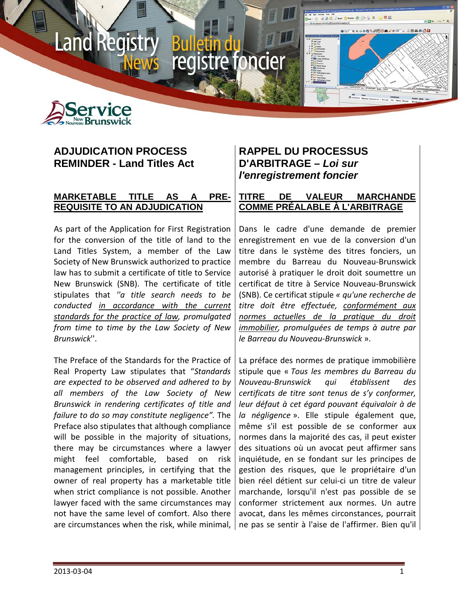



**Land Red** 

# **ADJUDICATION PROCESS REMINDER - Land Titles Act**

### **MARKETABLE TITLE AS A PRE-REQUISITE TO AN ADJUDICATION**

As part of the Application for First Registration for the conversion of the title of land to the Land Titles System, a member of the Law Society of New Brunswick authorized to practice law has to submit a certificate of title to Service New Brunswick (SNB). The certificate of title stipulates that *''a title search needs to be conducted in accordance with the current standards for the practice of law, promulgated from time to time by the Law Society of New Brunswick*''.

The Preface of the Standards for the Practice of Real Property Law stipulates that "*Standards are expected to be observed and adhered to by all members of the Law Society of New Brunswick in rendering certificates of title and failure to do so may constitute negligence".* The Preface also stipulates that although compliance will be possible in the majority of situations, there may be circumstances where a lawyer might feel comfortable, based on risk management principles, in certifying that the owner of real property has a marketable title when strict compliance is not possible. Another lawyer faced with the same circumstances may not have the same level of comfort. Also there are circumstances when the risk, while minimal,

# **RAPPEL DU PROCESSUS D'ARBITRAGE –** *Loi sur l'enregistrement foncier*

ncier

registre fo

### **TITRE DE VALEUR MARCHANDE COMME PRÉALABLE À L'ARBITRAGE**

Dans le cadre d'une demande de premier enregistrement en vue de la conversion d'un titre dans le système des titres fonciers, un membre du Barreau du Nouveau-Brunswick autorisé à pratiquer le droit doit soumettre un certificat de titre à Service Nouveau-Brunswick (SNB). Ce certificat stipule *« qu'une recherche de titre doit être effectuée, conformément aux normes actuelles de la pratique du droit immobilier, promulguées de temps à autre par le Barreau du Nouveau-Brunswick* ».

La préface des normes de pratique immobilière stipule que « *Tous les membres du Barreau du Nouveau-Brunswick qui établissent des certificats de titre sont tenus de s'y conformer, leur défaut à cet égard pouvant équivaloir à de la négligence* ». Elle stipule également que, même s'il est possible de se conformer aux normes dans la majorité des cas, il peut exister des situations où un avocat peut affirmer sans inquiétude, en se fondant sur les principes de gestion des risques, que le propriétaire d'un bien réel détient sur celui-ci un titre de valeur marchande, lorsqu'il n'est pas possible de se conformer strictement aux normes. Un autre avocat, dans les mêmes circonstances, pourrait ne pas se sentir à l'aise de l'affirmer. Bien qu'il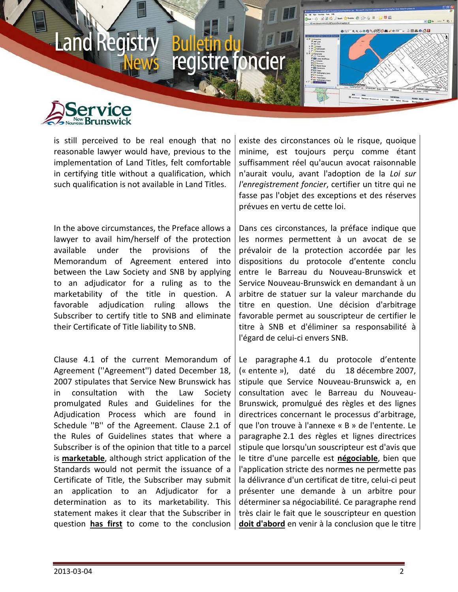

is still perceived to be real enough that no reasonable lawyer would have, previous to the implementation of Land Titles, felt comfortable in certifying title without a qualification, which such qualification is not available in Land Titles.

In the above circumstances, the Preface allows a lawyer to avail him/herself of the protection available under the provisions of the Memorandum of Agreement entered into between the Law Society and SNB by applying to an adjudicator for a ruling as to the marketability of the title in question. A favorable adjudication ruling allows the Subscriber to certify title to SNB and eliminate their Certificate of Title liability to SNB.

Clause 4.1 of the current Memorandum of Agreement (''Agreement'') dated December 18, 2007 stipulates that Service New Brunswick has in consultation with the Law Society promulgated Rules and Guidelines for the Adjudication Process which are found in Schedule ''B'' of the Agreement. Clause 2.1 of the Rules of Guidelines states that where a Subscriber is of the opinion that title to a parcel is **marketable**, although strict application of the Standards would not permit the issuance of a Certificate of Title, the Subscriber may submit an application to an Adjudicator for a determination as to its marketability. This statement makes it clear that the Subscriber in question **has first** to come to the conclusion

existe des circonstances où le risque, quoique minime, est toujours perçu comme étant suffisamment réel qu'aucun avocat raisonnable n'aurait voulu, avant l'adoption de la *Loi sur l'enregistrement foncier*, certifier un titre qui ne fasse pas l'objet des exceptions et des réserves prévues en vertu de cette loi.

Dans ces circonstances, la préface indique que les normes permettent à un avocat de se prévaloir de la protection accordée par les dispositions du protocole d'entente conclu entre le Barreau du Nouveau-Brunswick et Service Nouveau-Brunswick en demandant à un arbitre de statuer sur la valeur marchande du titre en question. Une décision d'arbitrage favorable permet au souscripteur de certifier le titre à SNB et d'éliminer sa responsabilité à l'égard de celui-ci envers SNB.

Le paragraphe 4.1 du protocole d'entente (« entente »), daté du 18 décembre 2007, stipule que Service Nouveau-Brunswick a, en consultation avec le Barreau du Nouveau-Brunswick, promulgué des règles et des lignes directrices concernant le processus d'arbitrage, que l'on trouve à l'annexe « B » de l'entente. Le paragraphe 2.1 des règles et lignes directrices stipule que lorsqu'un souscripteur est d'avis que le titre d'une parcelle est **négociable**, bien que l'application stricte des normes ne permette pas la délivrance d'un certificat de titre, celui-ci peut présenter une demande à un arbitre pour déterminer sa négociabilité. Ce paragraphe rend très clair le fait que le souscripteur en question **doit d'abord** en venir à la conclusion que le titre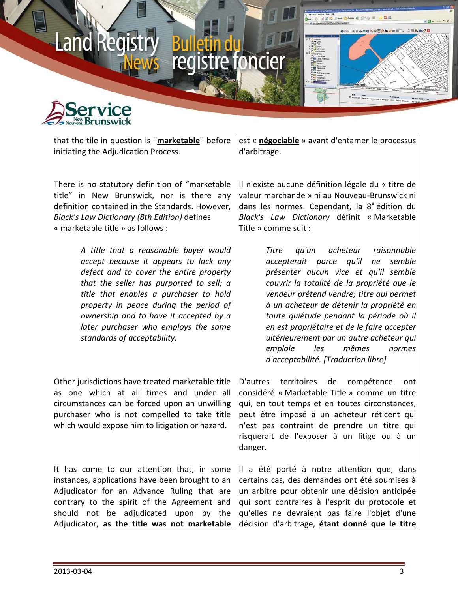



that the tile in question is ''**marketable**'' before initiating the Adjudication Process.

There is no statutory definition of "marketable title" in New Brunswick, nor is there any definition contained in the Standards. However, *Black's Law Dictionary (8th Edition)* defines « marketable title » as follows :

> *A title that a reasonable buyer would accept because it appears to lack any defect and to cover the entire property that the seller has purported to sell; a title that enables a purchaser to hold property in peace during the period of ownership and to have it accepted by a later purchaser who employs the same standards of acceptability.*

Other jurisdictions have treated marketable title as one which at all times and under all circumstances can be forced upon an unwilling purchaser who is not compelled to take title which would expose him to litigation or hazard.

It has come to our attention that, in some instances, applications have been brought to an Adjudicator for an Advance Ruling that are contrary to the spirit of the Agreement and should not be adjudicated upon by the Adjudicator, **as the title was not marketable**

est « **négociable** » avant d'entamer le processus d'arbitrage.

Il n'existe aucune définition légale du « titre de valeur marchande » ni au Nouveau-Brunswick ni dans les normes. Cependant, la 8<sup>e</sup> édition du *Black's Law Dictionary* définit « Marketable Title » comme suit :

> *Titre qu'un acheteur raisonnable accepterait parce qu'il ne semble présenter aucun vice et qu'il semble couvrir la totalité de la propriété que le vendeur prétend vendre; titre qui permet à un acheteur de détenir la propriété en toute quiétude pendant la période où il en est propriétaire et de le faire accepter ultérieurement par un autre acheteur qui emploie les mêmes normes d'acceptabilité. [Traduction libre]*

D'autres territoires de compétence ont considéré « Marketable Title » comme un titre qui, en tout temps et en toutes circonstances, peut être imposé à un acheteur réticent qui n'est pas contraint de prendre un titre qui risquerait de l'exposer à un litige ou à un danger.

Il a été porté à notre attention que, dans certains cas, des demandes ont été soumises à un arbitre pour obtenir une décision anticipée qui sont contraires à l'esprit du protocole et qu'elles ne devraient pas faire l'objet d'une décision d'arbitrage, **étant donné que le titre**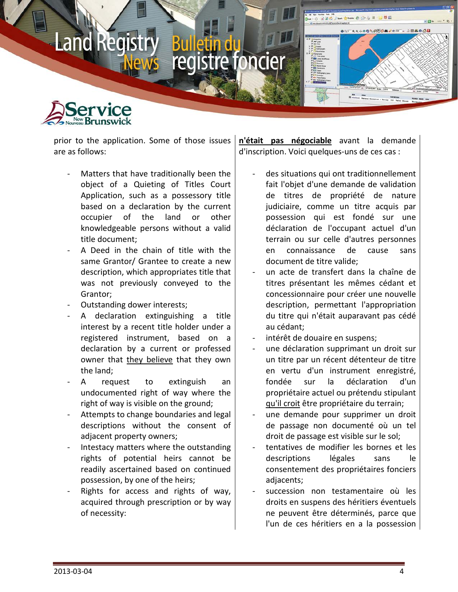

prior to the application. Some of those issues are as follows:

- Matters that have traditionally been the object of a Quieting of Titles Court Application, such as a possessory title based on a declaration by the current occupier of the land or other knowledgeable persons without a valid title document;
- A Deed in the chain of title with the same Grantor/ Grantee to create a new description, which appropriates title that was not previously conveyed to the Grantor;
- Outstanding dower interests;
- A declaration extinguishing a title interest by a recent title holder under a registered instrument, based on a declaration by a current or professed owner that they believe that they own the land;
- A request to extinguish an undocumented right of way where the right of way is visible on the ground;
- Attempts to change boundaries and legal descriptions without the consent of adjacent property owners;
- Intestacy matters where the outstanding rights of potential heirs cannot be readily ascertained based on continued possession, by one of the heirs;
- Rights for access and rights of way, acquired through prescription or by way of necessity:

**n'était pas négociable** avant la demande d'inscription. Voici quelques-uns de ces cas :

- des situations qui ont traditionnellement fait l'objet d'une demande de validation de titres de propriété de nature judiciaire, comme un titre acquis par possession qui est fondé sur une déclaration de l'occupant actuel d'un terrain ou sur celle d'autres personnes en connaissance de cause sans document de titre valide;
- un acte de transfert dans la chaîne de titres présentant les mêmes cédant et concessionnaire pour créer une nouvelle description, permettant l'appropriation du titre qui n'était auparavant pas cédé au cédant;
- intérêt de douaire en suspens;
- une déclaration supprimant un droit sur un titre par un récent détenteur de titre en vertu d'un instrument enregistré, fondée sur la déclaration d'un propriétaire actuel ou prétendu stipulant qu'il croit être propriétaire du terrain;
- une demande pour supprimer un droit de passage non documenté où un tel droit de passage est visible sur le sol;
- tentatives de modifier les bornes et les descriptions légales sans le consentement des propriétaires fonciers adjacents;
- succession non testamentaire où les droits en suspens des héritiers éventuels ne peuvent être déterminés, parce que l'un de ces héritiers en a la possession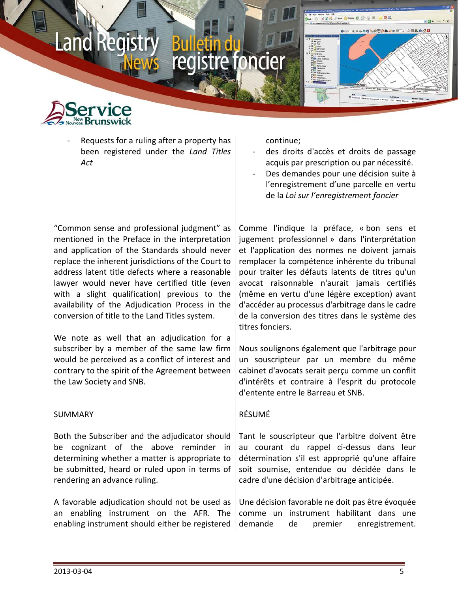

Requests for a ruling after a property has been registered under the *Land Titles Act*

continue;

- des droits d'accès et droits de passage acquis par prescription ou par nécessité.
- Des demandes pour une décision suite à l'enregistrement d'une parcelle en vertu de la *Loi sur l'enregistrement foncier*

"Common sense and professional judgment" as mentioned in the Preface in the interpretation and application of the Standards should never replace the inherent jurisdictions of the Court to address latent title defects where a reasonable lawyer would never have certified title (even with a slight qualification) previous to the availability of the Adjudication Process in the conversion of title to the Land Titles system.

We note as well that an adjudication for a subscriber by a member of the same law firm would be perceived as a conflict of interest and contrary to the spirit of the Agreement between the Law Society and SNB.

### SUMMARY

Both the Subscriber and the adjudicator should be cognizant of the above reminder in determining whether a matter is appropriate to be submitted, heard or ruled upon in terms of rendering an advance ruling.

A favorable adjudication should not be used as an enabling instrument on the AFR. The enabling instrument should either be registered

Comme l'indique la préface, « bon sens et jugement professionnel » dans l'interprétation et l'application des normes ne doivent jamais remplacer la compétence inhérente du tribunal pour traiter les défauts latents de titres qu'un avocat raisonnable n'aurait jamais certifiés (même en vertu d'une légère exception) avant d'accéder au processus d'arbitrage dans le cadre de la conversion des titres dans le système des titres fonciers.

Nous soulignons également que l'arbitrage pour un souscripteur par un membre du même cabinet d'avocats serait perçu comme un conflit d'intérêts et contraire à l'esprit du protocole d'entente entre le Barreau et SNB.

## RÉSUMÉ

Tant le souscripteur que l'arbitre doivent être au courant du rappel ci-dessus dans leur détermination s'il est approprié qu'une affaire soit soumise, entendue ou décidée dans le cadre d'une décision d'arbitrage anticipée.

Une décision favorable ne doit pas être évoquée comme un instrument habilitant dans une demande de premier enregistrement.